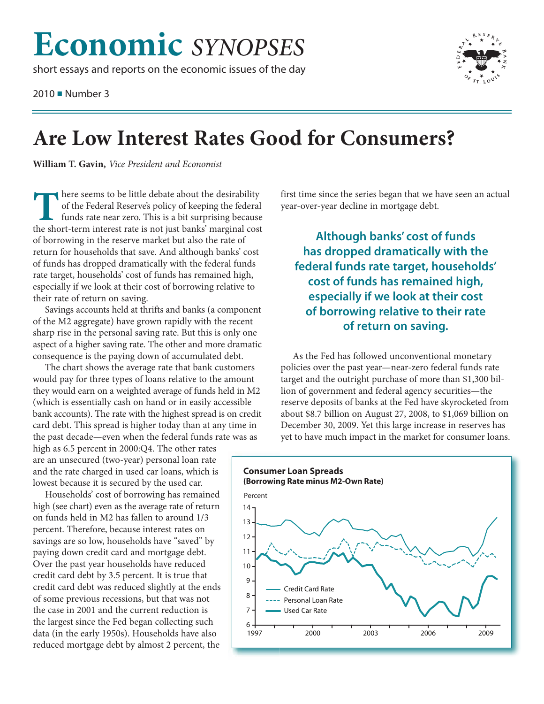## **Economic** *SYNOPSES*

short essays and reports on the economic issues of the day

2010 ■ Number 3



## **Are Low Interest Rates Good for Consumers?**

**William T. Gavin,** *Vice President and Economist*

There seems to be little debate about the desirability of the Federal Reserve's policy of keeping the federa funds rate near zero. This is a bit surprising because the short-term interest rate is not just hanks' marginal c of the Federal Reserve's policy of keeping the federal funds rate near zero. This is a bit surprising because the short-term interest rate is not just banks' marginal cost of borrowing in the reserve market but also the rate of return for households that save. And although banks' cost of funds has dropped dramatically with the federal funds rate target, households' cost of funds has remained high, especially if we look at their cost of borrowing relative to their rate of return on saving.

Savings accounts held at thrifts and banks (a component of the M2 aggregate) have grown rapidly with the recent sharp rise in the personal saving rate. But this is only one aspect of a higher saving rate. The other and more dramatic consequence is the paying down of accumulated debt.

The chart shows the average rate that bank customers would pay for three types of loans relative to the amount they would earn on a weighted average of funds held in M2 (which is essentially cash on hand or in easily accessible bank accounts). The rate with the highest spread is on credit card debt. This spread is higher today than at any time in the past decade—even when the federal funds rate was as

high as 6.5 percent in 2000:Q4. The other rates are an unsecured (two-year) personal loan rate and the rate charged in used car loans, which is lowest because it is secured by the used car.

Households' cost of borrowing has remained high (see chart) even as the average rate of return on funds held in M2 has fallen to around 1/3 percent. Therefore, because interest rates on savings are so low, households have "saved" by paying down credit card and mortgage debt. Over the past year households have reduced credit card debt by 3.5 percent. It is true that credit card debt was reduced slightly at the ends of some previous recessions, but that was not the case in 2001 and the current reduction is the largest since the Fed began collecting such data (in the early 1950s). Households have also reduced mortgage debt by almost 2 percent, the

first time since the series began that we have seen an actual year-over-year decline in mortgage debt.

**Although banks' cost of funds has dropped dramatically with the federal funds rate target, households' cost of funds has remained high, especially if we look at their cost of borrowing relative to their rate of return on saving.**

As the Fed has followed unconventional monetary policies over the past year—near-zero federal funds rate target and the outright purchase of more than \$1,300 billion of government and federal agency securities—the reserve deposits of banks at the Fed have skyrocketed from about \$8.7 billion on August 27, 2008, to \$1,069 billion on December 30, 2009. Yet this large increase in reserves has yet to have much impact in the market for consumer loans.